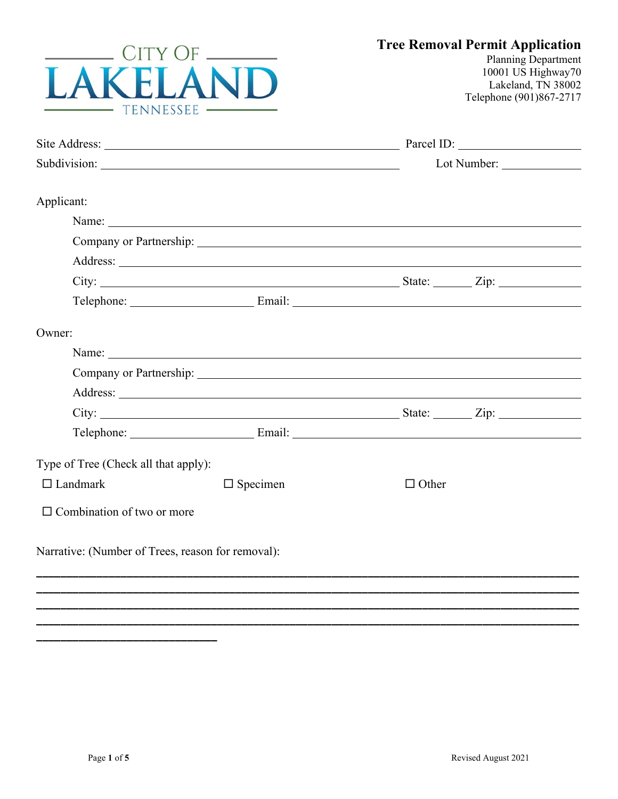| $CITY$ OF $\_\_\_\_\_\_\_\_\_\_$<br><b>LAKELAND</b>                                                                                                                                                                                                                                                                                                                                                                    | <b>Tree Removal Permi</b><br>Pla<br>1000<br>La<br>Telepho |  |  |
|------------------------------------------------------------------------------------------------------------------------------------------------------------------------------------------------------------------------------------------------------------------------------------------------------------------------------------------------------------------------------------------------------------------------|-----------------------------------------------------------|--|--|
| Site Address: <u>New York: Parcel ID:</u> Parcel ID:                                                                                                                                                                                                                                                                                                                                                                   |                                                           |  |  |
|                                                                                                                                                                                                                                                                                                                                                                                                                        | Lot Number:                                               |  |  |
| Applicant:                                                                                                                                                                                                                                                                                                                                                                                                             |                                                           |  |  |
| Name: $\frac{1}{\sqrt{1-\frac{1}{2}}}\left\{ \frac{1}{2}, \frac{1}{2}, \frac{1}{2}, \frac{1}{2}, \frac{1}{2}, \frac{1}{2}, \frac{1}{2}, \frac{1}{2}, \frac{1}{2}, \frac{1}{2}, \frac{1}{2}, \frac{1}{2}, \frac{1}{2}, \frac{1}{2}, \frac{1}{2}, \frac{1}{2}, \frac{1}{2}, \frac{1}{2}, \frac{1}{2}, \frac{1}{2}, \frac{1}{2}, \frac{1}{2}, \frac{1}{2}, \frac{1}{2}, \frac{1}{2}, \frac{1}{2}, \frac{1}{2}, \frac{1}{$ |                                                           |  |  |
| Company or Partnership: 2008 2010 2010 2010 2010 2010 2011 2012 2020 2021 2021 2022 2023 2024 2022 2023 2024 20                                                                                                                                                                                                                                                                                                        |                                                           |  |  |
|                                                                                                                                                                                                                                                                                                                                                                                                                        |                                                           |  |  |
| City: $\frac{2}{\pi}$ State: $\frac{2}{\pi}$ Zip:                                                                                                                                                                                                                                                                                                                                                                      |                                                           |  |  |
|                                                                                                                                                                                                                                                                                                                                                                                                                        |                                                           |  |  |
| Owner:                                                                                                                                                                                                                                                                                                                                                                                                                 |                                                           |  |  |

Name: Company or Partnership: Address: City: State: Zip: Telephone: Email: Email: Type of Tree (Check all that apply):  $\Box$  Landmark  $\Box$  Combination of two or more  $\Box$  Specimen  $\Box$  Other Narrative: (Number of Trees, reason for removal): **\_\_\_\_\_\_\_\_\_\_\_\_\_\_\_\_\_\_\_\_\_\_\_\_\_\_\_\_\_\_\_\_\_\_\_\_\_\_\_\_\_\_\_\_\_\_\_\_\_\_\_\_\_\_\_\_\_\_\_\_\_\_\_\_\_\_\_\_\_\_\_\_\_\_\_\_\_\_\_\_\_\_\_\_\_\_\_\_\_\_ \_\_\_\_\_\_\_\_\_\_\_\_\_\_\_\_\_\_\_\_\_\_\_\_\_\_\_\_\_\_\_\_\_\_\_\_\_\_\_\_\_\_\_\_\_\_\_\_\_\_\_\_\_\_\_\_\_\_\_\_\_\_\_\_\_\_\_\_\_\_\_\_\_\_\_\_\_\_\_\_\_\_\_\_\_\_\_\_\_\_ \_\_\_\_\_\_\_\_\_\_\_\_\_\_\_\_\_\_\_\_\_\_\_\_\_\_\_\_\_\_\_\_\_\_\_\_\_\_\_\_\_\_\_\_\_\_\_\_\_\_\_\_\_\_\_\_\_\_\_\_\_\_\_\_\_\_\_\_\_\_\_\_\_\_\_\_\_\_\_\_\_\_\_\_\_\_\_\_\_\_**

**\_\_\_\_\_\_\_\_\_\_\_\_\_\_\_\_\_\_\_\_\_\_\_\_\_\_\_\_\_\_\_\_\_\_\_\_\_\_\_\_\_\_\_\_\_\_\_\_\_\_\_\_\_\_\_\_\_\_\_\_\_\_\_\_\_\_\_\_\_\_\_\_\_\_\_\_\_\_\_\_\_\_\_\_\_\_\_\_\_\_**

**\_\_\_\_\_\_\_\_\_\_\_\_\_\_\_\_\_\_\_\_\_\_\_\_\_\_\_\_\_\_**

**Permit Application** Planning Department 10001 US Highway70 Lakeland, TN 38002 Telephone (901)867-2717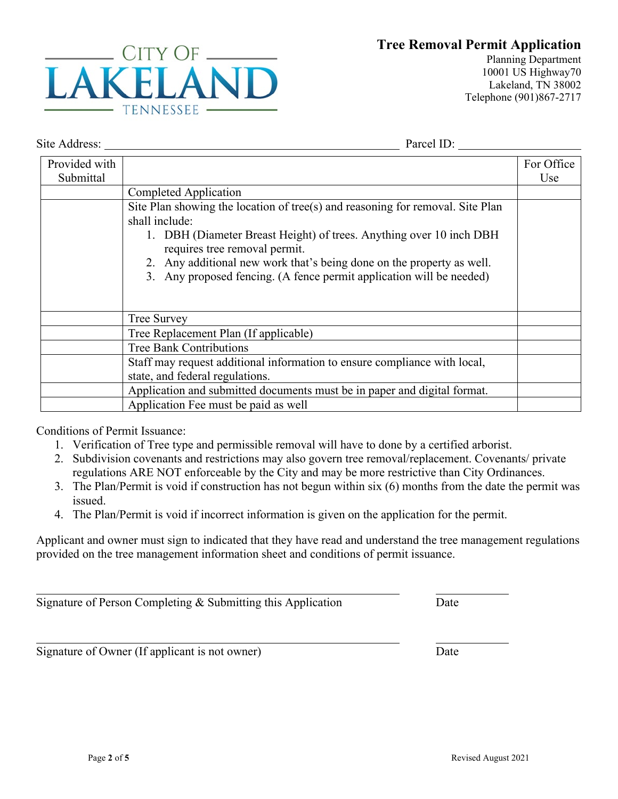#### Page 2 of 5 Revised August 2021

Conditions of Permit Issuance:

| Submittal |                                                                                                                                                                                                                                                                                                                                                           | Use |
|-----------|-----------------------------------------------------------------------------------------------------------------------------------------------------------------------------------------------------------------------------------------------------------------------------------------------------------------------------------------------------------|-----|
|           | Completed Application                                                                                                                                                                                                                                                                                                                                     |     |
|           | Site Plan showing the location of tree(s) and reasoning for removal. Site Plan<br>shall include:<br>1. DBH (Diameter Breast Height) of trees. Anything over 10 inch DBH<br>requires tree removal permit.<br>2. Any additional new work that's being done on the property as well.<br>3. Any proposed fencing. (A fence permit application will be needed) |     |
|           | Tree Survey                                                                                                                                                                                                                                                                                                                                               |     |
|           | Tree Replacement Plan (If applicable)                                                                                                                                                                                                                                                                                                                     |     |
|           | <b>Tree Bank Contributions</b>                                                                                                                                                                                                                                                                                                                            |     |
|           | Staff may request additional information to ensure compliance with local,                                                                                                                                                                                                                                                                                 |     |

CITY OF. **TENNESSEE** 

Provided with

**Tree Removal Permit Application**

Planning Department 10001 US Highway70 Lakeland, TN 38002 Telephone (901)867-2717

For Office

Site Address: Parcel ID:

|         |  | 3. The Plan/Permit is void if construction has not begun within six (6) months from the date the permit was |
|---------|--|-------------------------------------------------------------------------------------------------------------|
| issued. |  |                                                                                                             |

2. Subdivision covenants and restrictions may also govern tree removal/replacement. Covenants/ private regulations ARE NOT enforceable by the City and may be more restrictive than City Ordinances.

Application and submitted documents must be in paper and digital format.

4. The Plan/Permit is void if incorrect information is given on the application for the permit.

1. Verification of Tree type and permissible removal will have to done by a certified arborist.

Applicant and owner must sign to indicated that they have read and understand the tree management regulations provided on the tree management information sheet and conditions of permit issuance.

Signature of Person Completing & Submitting this Application Date

state, and federal regulations.

Application Fee must be paid as well

Signature of Owner (If applicant is not owner) Date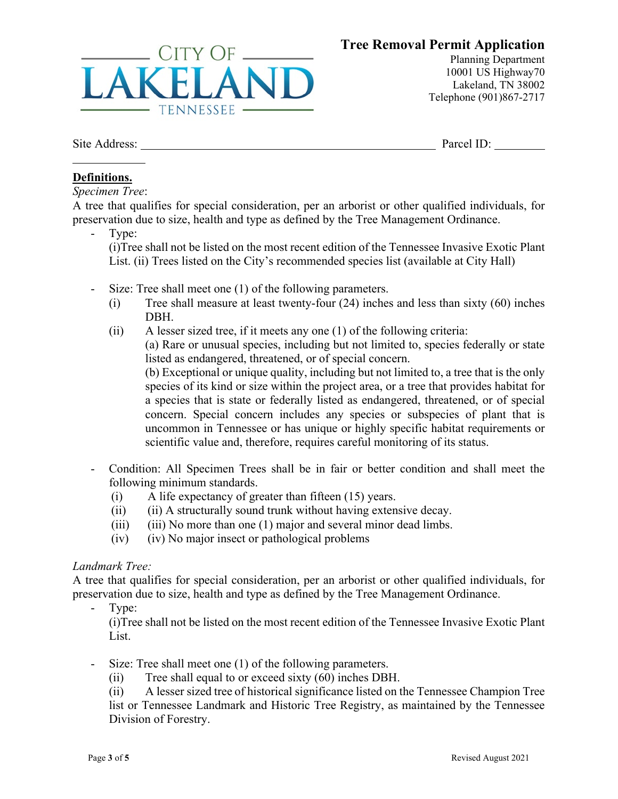# CITY OF. TENNESSEE -

## **Tree Removal Permit Application**

Planning Department 10001 US Highway70 Lakeland, TN 38002 Telephone (901)867-2717

Site Address: Parcel ID:

## **Definitions.**

### *Specimen Tree*:

A tree that qualifies for special consideration, per an arborist or other qualified individuals, for preservation due to size, health and type as defined by the Tree Management Ordinance.

Type:

(i)Tree shall not be listed on the most recent edition of the Tennessee Invasive Exotic Plant List. (ii) Trees listed on the City's recommended species list (available at City Hall)

- Size: Tree shall meet one (1) of the following parameters.
	- (i) Tree shall measure at least twenty-four (24) inches and less than sixty (60) inches DBH.
	- (ii) A lesser sized tree, if it meets any one (1) of the following criteria:

(a) Rare or unusual species, including but not limited to, species federally or state listed as endangered, threatened, or of special concern.

(b) Exceptional or unique quality, including but not limited to, a tree that is the only species of its kind or size within the project area, or a tree that provides habitat for a species that is state or federally listed as endangered, threatened, or of special concern. Special concern includes any species or subspecies of plant that is uncommon in Tennessee or has unique or highly specific habitat requirements or scientific value and, therefore, requires careful monitoring of its status.

- Condition: All Specimen Trees shall be in fair or better condition and shall meet the following minimum standards.
	- (i) A life expectancy of greater than fifteen (15) years.
	- (ii) (ii) A structurally sound trunk without having extensive decay.
	- (iii) (iii) No more than one (1) major and several minor dead limbs.
	- (iv) (iv) No major insect or pathological problems

### *Landmark Tree:*

A tree that qualifies for special consideration, per an arborist or other qualified individuals, for preservation due to size, health and type as defined by the Tree Management Ordinance.

- Type:

(i)Tree shall not be listed on the most recent edition of the Tennessee Invasive Exotic Plant List.

- Size: Tree shall meet one (1) of the following parameters.
	- (ii) Tree shall equal to or exceed sixty (60) inches DBH.

(ii) A lesser sized tree of historical significance listed on the Tennessee Champion Tree list or Tennessee Landmark and Historic Tree Registry, as maintained by the Tennessee Division of Forestry.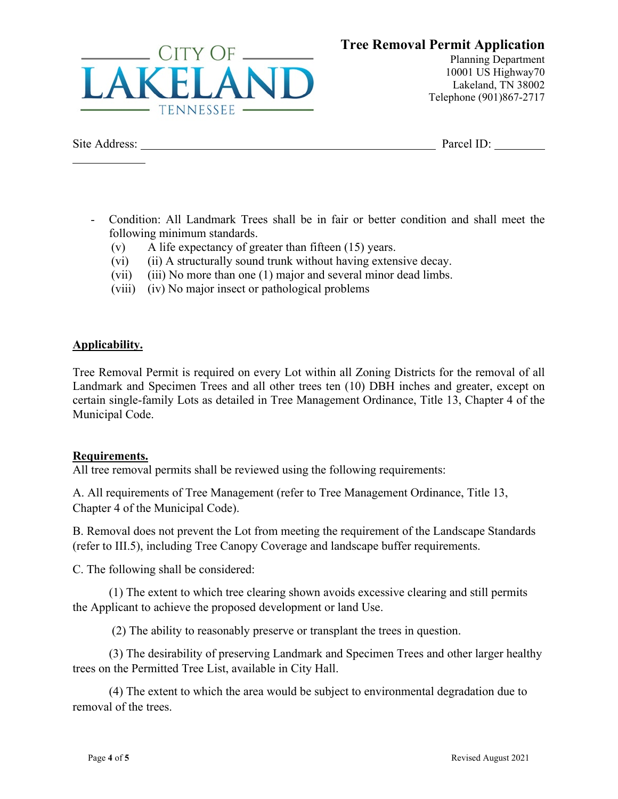## **Tree Removal Permit Application**



Site Address: Parcel ID:

- Condition: All Landmark Trees shall be in fair or better condition and shall meet the following minimum standards.
	- (v) A life expectancy of greater than fifteen (15) years.
	- (vi) (ii) A structurally sound trunk without having extensive decay.
	- (vii) (iii) No more than one (1) major and several minor dead limbs.
	- (viii) (iv) No major insect or pathological problems

 $CITY$  OF  $\_\_$ 

TENNESSEE -

#### **Applicability.**

Tree Removal Permit is required on every Lot within all Zoning Districts for the removal of all Landmark and Specimen Trees and all other trees ten (10) DBH inches and greater, except on certain single-family Lots as detailed in Tree Management Ordinance, Title 13, Chapter 4 of the Municipal Code.

#### **Requirements.**

All tree removal permits shall be reviewed using the following requirements:

A. All requirements of Tree Management (refer to Tree Management Ordinance, Title 13, Chapter 4 of the Municipal Code).

B. Removal does not prevent the Lot from meeting the requirement of the Landscape Standards (refer to III.5), including Tree Canopy Coverage and landscape buffer requirements.

C. The following shall be considered:

(1) The extent to which tree clearing shown avoids excessive clearing and still permits the Applicant to achieve the proposed development or land Use.

(2) The ability to reasonably preserve or transplant the trees in question.

(3) The desirability of preserving Landmark and Specimen Trees and other larger healthy trees on the Permitted Tree List, available in City Hall.

(4) The extent to which the area would be subject to environmental degradation due to removal of the trees.